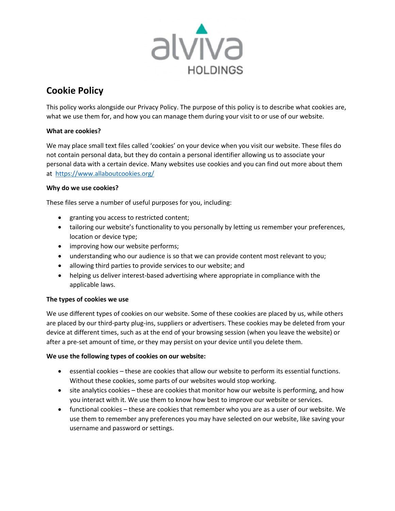

# **Cookie Policy**

This policy works alongside our Privacy Policy. The purpose of this policy is to describe what cookies are, what we use them for, and how you can manage them during your visit to or use of our website.

## **What are cookies?**

We may place small text files called 'cookies' on your device when you visit our website. These files do not contain personal data, but they do contain a personal identifier allowing us to associate your personal data with a certain device. Many websites use cookies and you can find out more about them at <https://www.allaboutcookies.org/>

## **Why do we use cookies?**

These files serve a number of useful purposes for you, including:

- granting you access to restricted content;
- tailoring our website's functionality to you personally by letting us remember your preferences, location or device type;
- improving how our website performs;
- understanding who our audience is so that we can provide content most relevant to you;
- allowing third parties to provide services to our website; and
- helping us deliver interest-based advertising where appropriate in compliance with the applicable laws.

### **The types of cookies we use**

We use different types of cookies on our website. Some of these cookies are placed by us, while others are placed by our third-party plug-ins, suppliers or advertisers. These cookies may be deleted from your device at different times, such as at the end of your browsing session (when you leave the website) or after a pre-set amount of time, or they may persist on your device until you delete them.

### **We use the following types of cookies on our website:**

- essential cookies these are cookies that allow our website to perform its essential functions. Without these cookies, some parts of our websites would stop working.
- site analytics cookies these are cookies that monitor how our website is performing, and how you interact with it. We use them to know how best to improve our website or services.
- functional cookies these are cookies that remember who you are as a user of our website. We use them to remember any preferences you may have selected on our website, like saving your username and password or settings.